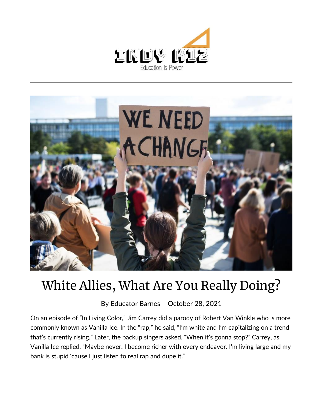



## White Allies, What Are You Really Doing?

By [Educator Barnes](https://indy.education/author/shicole/) – October 28, 2021

On an episode of "In Living Color," Jim Carrey did a [parody](https://www.youtube.com/watch?v=Mx7kzarSwGE) of Robert Van Winkle who is more commonly known as Vanilla Ice. In the "rap," he said, "I'm white and I'm capitalizing on a trend that's currently rising." Later, the backup singers asked, "When it's gonna stop?" Carrey, as Vanilla Ice replied, "Maybe never. I become richer with every endeavor. I'm living large and my bank is stupid 'cause I just listen to real rap and dupe it."